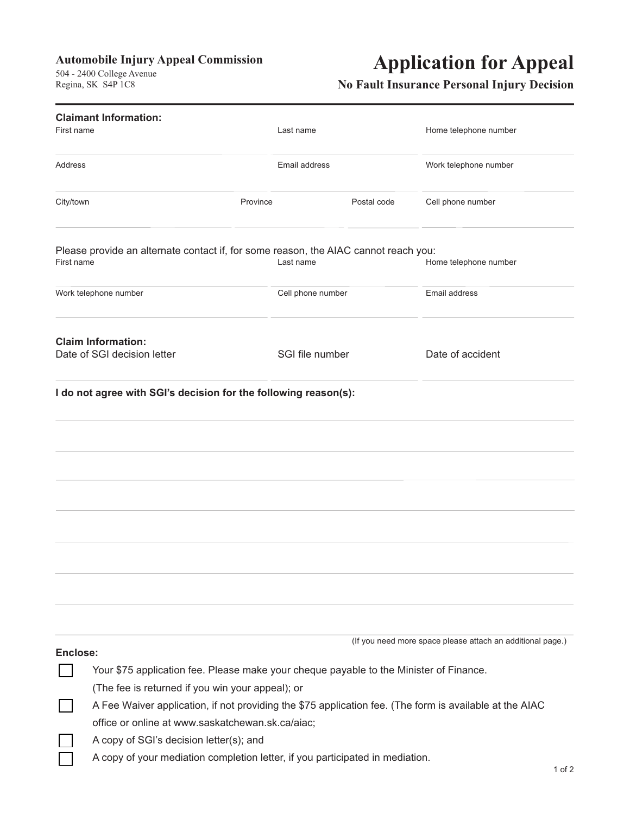### **Automobile Injury Appeal Commission**

 $R$ egina SK S4P  $1C8$  $R_{\text{S}}$ 

# **Application for Appeal**

### **No Fault Insurance Personal Injury Decision**

| <b>Claimant Information:</b>                             |                                                                                                         |                   |             |                                                            |            |  |  |
|----------------------------------------------------------|---------------------------------------------------------------------------------------------------------|-------------------|-------------|------------------------------------------------------------|------------|--|--|
| First name                                               |                                                                                                         | Last name         |             | Home telephone number                                      |            |  |  |
| Address                                                  |                                                                                                         | Email address     |             | Work telephone number                                      |            |  |  |
| City/town                                                |                                                                                                         | Province          | Postal code | Cell phone number                                          |            |  |  |
| First name                                               | Please provide an alternate contact if, for some reason, the AIAC cannot reach you:                     | Last name         |             | Home telephone number                                      |            |  |  |
| Work telephone number                                    |                                                                                                         | Cell phone number |             | Email address                                              |            |  |  |
| <b>Claim Information:</b><br>Date of SGI decision letter |                                                                                                         | SGI file number   |             | Date of accident                                           |            |  |  |
|                                                          | I do not agree with SGI's decision for the following reason(s):                                         |                   |             |                                                            |            |  |  |
|                                                          |                                                                                                         |                   |             |                                                            |            |  |  |
|                                                          |                                                                                                         |                   |             |                                                            |            |  |  |
|                                                          |                                                                                                         |                   |             |                                                            |            |  |  |
|                                                          |                                                                                                         |                   |             |                                                            |            |  |  |
|                                                          |                                                                                                         |                   |             |                                                            |            |  |  |
|                                                          |                                                                                                         |                   |             |                                                            |            |  |  |
|                                                          |                                                                                                         |                   |             |                                                            |            |  |  |
| Enclose:                                                 |                                                                                                         |                   |             | (If you need more space please attach an additional page.) |            |  |  |
|                                                          | Your \$75 application fee. Please make your cheque payable to the Minister of Finance.                  |                   |             |                                                            |            |  |  |
|                                                          | (The fee is returned if you win your appeal); or                                                        |                   |             |                                                            |            |  |  |
|                                                          | A Fee Waiver application, if not providing the \$75 application fee. (The form is available at the AIAC |                   |             |                                                            |            |  |  |
|                                                          | office or online at www.saskatchewan.sk.ca/aiac;                                                        |                   |             |                                                            |            |  |  |
|                                                          | A copy of SGI's decision letter(s); and                                                                 |                   |             |                                                            |            |  |  |
|                                                          | A copy of your mediation completion letter, if you participated in mediation.                           |                   |             |                                                            | $1$ of $2$ |  |  |
|                                                          |                                                                                                         |                   |             |                                                            |            |  |  |